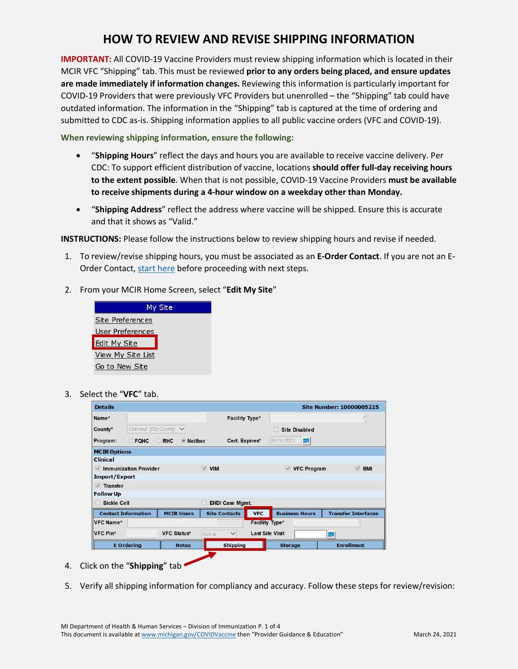## **HOW TO REVIEW AND REVISE SHIPPING INFORMATION**

**IMPORTANT:** All COVID-19 Vaccine Providers must review shipping information which is located in their MCIR VFC "Shipping" tab. This must be reviewed **prior to any orders being placed, and ensure updates are made immediately if information changes.** Reviewing this information is particularly important for COVID-19 Providers that were previously VFC Providers but unenrolled – the "Shipping" tab could have outdated information. The information in the "Shipping" tab is captured at the time of ordering and submitted to CDC as-is. Shipping information applies to all public vaccine orders (VFC and COVID-19).

**When reviewing shipping information, ensure the following:**

- "**Shipping Hours**" reflect the days and hours you are available to receive vaccine delivery. Per CDC: To support efficient distribution of vaccine, locations **should offer full-day receiving hours to the extent possible**. When that is not possible, COVID-19 Vaccine Providers **must be available to receive shipments during a 4-hour window on a weekday other than Monday.**
- "**Shipping Address**" reflect the address where vaccine will be shipped. Ensure this is accurate and that it shows as "Valid."

**INSTRUCTIONS:** Please follow the instructions below to review shipping hours and revise if needed.

- 1. To review/revise shipping hours, you must be associated as an **E-Order Contact**. If you are not an E-Order Contact, [start here](https://www.michigan.gov/documents/mdhhs/HowtoAddEOrderOrderContactfinal__12182020_710951_7.pdf) before proceeding with next steps.
- 2. From your MCIR Home Screen, select "**Edit My Site**"



3. Select the "**VFC**" tab.

| <b>Details</b>                             |                                               |                    |                   |                        |                                           |                        |                       | <b>Site Number: 10000005225</b> |  |  |
|--------------------------------------------|-----------------------------------------------|--------------------|-------------------|------------------------|-------------------------------------------|------------------------|-----------------------|---------------------------------|--|--|
| Name*                                      |                                               |                    |                   |                        | Facility Type*                            |                        |                       |                                 |  |  |
| County*                                    | Oakland (63) County $\vee$                    |                    |                   |                        | <b>Site Disabled</b>                      |                        |                       |                                 |  |  |
| Program:                                   | $\bigcirc$ RHC<br>◉ Neither<br>$\supset$ FQHC |                    |                   |                        | 06/18/2021<br>Cert. Expires*<br><u>mu</u> |                        |                       |                                 |  |  |
| <b>MCIR Options</b>                        |                                               |                    |                   |                        |                                           |                        |                       |                                 |  |  |
| <b>Clinical</b>                            |                                               |                    |                   |                        |                                           |                        |                       |                                 |  |  |
| $\vee$ Immunization Provider               |                                               |                    |                   | $\vee$ VIM             |                                           |                        | $\vee$ VFC Program    | $\vee$ BMI                      |  |  |
| Import/Export                              |                                               |                    |                   |                        |                                           |                        |                       |                                 |  |  |
| $\vee$ Transfer                            |                                               |                    |                   |                        |                                           |                        |                       |                                 |  |  |
| <b>Follow Up</b>                           |                                               |                    |                   |                        |                                           |                        |                       |                                 |  |  |
| <b>Sickle Cell</b>                         |                                               |                    |                   | <b>EHDI Case Mgmt.</b> |                                           |                        |                       |                                 |  |  |
| <b>Contact Information</b>                 |                                               |                    | <b>MCIR Users</b> | <b>Site Contacts</b>   | <b>VFC</b>                                |                        | <b>Business Hours</b> | <b>Transfer Interfaces</b>      |  |  |
| ${\mathsf{\parallel}}{\mathsf{VFC}}$ Name* |                                               |                    |                   |                        | Facility Type*                            |                        |                       |                                 |  |  |
| $\sf{IVFC}$ Pin*                           |                                               | <b>VFC Status*</b> |                   | $\checkmark$<br>Active |                                           | <b>Last Site Visit</b> |                       |                                 |  |  |
|                                            | <b>E</b> Ordering                             |                    | <b>Notes</b>      | <b>Shipping</b>        |                                           | <b>Storage</b>         |                       | <b>Enrollment</b>               |  |  |
|                                            |                                               |                    |                   |                        |                                           |                        |                       |                                 |  |  |

- 4. Click on the "**Shipping**" tab
- 5. Verify all shipping information for compliancy and accuracy. Follow these steps for review/revision: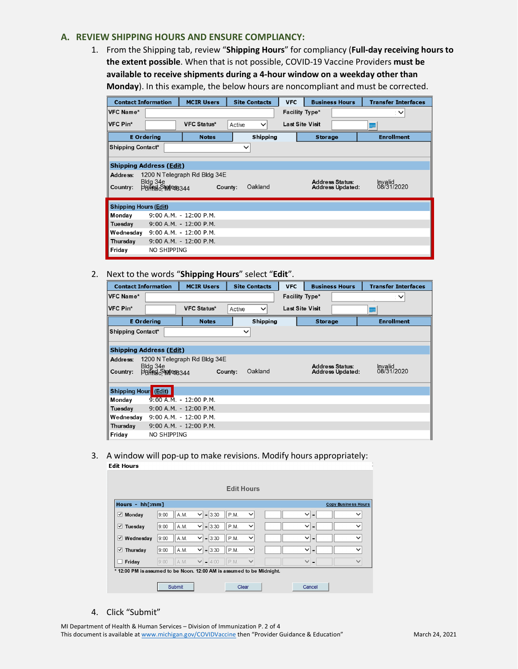## **A. REVIEW SHIPPING HOURS AND ENSURE COMPLIANCY:**

1. From the Shipping tab, review "**Shipping Hours**" for compliancy (**Full-day receiving hours to the extent possible**. When that is not possible, COVID-19 Vaccine Providers **must be available to receive shipments during a 4-hour window on a weekday other than Monday**). In this example, the below hours are noncompliant and must be corrected.

| <b>Contact Information</b>     |                                          | <b>MCIR Users</b>                       | <b>Site Contacts</b>   | <b>VFC</b>             | <b>Business Hours</b>                             | <b>Transfer Interfaces</b> |  |  |  |  |
|--------------------------------|------------------------------------------|-----------------------------------------|------------------------|------------------------|---------------------------------------------------|----------------------------|--|--|--|--|
| VFC Name*                      |                                          |                                         |                        | Facility Type*         |                                                   | $\checkmark$               |  |  |  |  |
| VFC Pin*                       |                                          | <b>VFC Status*</b>                      | Active<br>$\checkmark$ | <b>Last Site Visit</b> |                                                   |                            |  |  |  |  |
| <b>E</b> Ordering              |                                          | <b>Notes</b>                            | <b>Shipping</b>        |                        | <b>Storage</b>                                    | <b>Enrollment</b>          |  |  |  |  |
|                                | <b>Shipping Contact*</b><br>$\checkmark$ |                                         |                        |                        |                                                   |                            |  |  |  |  |
| <b>Shipping Address (Edit)</b> |                                          |                                         |                        |                        |                                                   |                            |  |  |  |  |
| Address:<br>Country:           | Bldg 34e<br><b>Ported</b> State 8344     | 1200 N Telegraph Rd Bldg 34E<br>County: | Oakland                |                        | <b>Address Status:</b><br><b>Address Updated:</b> | Invalid<br>08/31/2020      |  |  |  |  |
| <b>Shipping Hours (Edit)</b>   |                                          |                                         |                        |                        |                                                   |                            |  |  |  |  |
| Monday                         |                                          | 9:00 A.M. - 12:00 P.M.                  |                        |                        |                                                   |                            |  |  |  |  |
| Tuesday                        |                                          | 9:00 A.M. - 12:00 P.M.                  |                        |                        |                                                   |                            |  |  |  |  |
| Wednestay                      |                                          | $9:00$ A.M. - 12:00 P.M.                |                        |                        |                                                   |                            |  |  |  |  |
| Thursday                       |                                          | $9:00$ A.M. - 12:00 P.M.                |                        |                        |                                                   |                            |  |  |  |  |
| Friday                         | NO SHIPPING                              |                                         |                        |                        |                                                   |                            |  |  |  |  |

2. Next to the words "**Shipping Hours**" select "**Edit**".

| <b>Contact Information</b>        |                                   | <b>MCIR Users</b>            | <b>Site Contacts</b> |                 | <b>VFC</b>             |                | <b>Business Hours</b>                             | <b>Transfer Interfaces</b> |  |  |
|-----------------------------------|-----------------------------------|------------------------------|----------------------|-----------------|------------------------|----------------|---------------------------------------------------|----------------------------|--|--|
| VFC Name*                         |                                   |                              |                      |                 | Facility Type*         |                |                                                   | $\checkmark$               |  |  |
| VFC Pin*                          |                                   | <b>VFC Status*</b>           | Active               | $\checkmark$    | <b>Last Site Visit</b> |                |                                                   |                            |  |  |
|                                   | <b>E</b> Ordering                 | <b>Notes</b>                 |                      | <b>Shipping</b> |                        | <b>Storage</b> |                                                   | <b>Enrollment</b>          |  |  |
|                                   | Shipping Contact*<br>$\checkmark$ |                              |                      |                 |                        |                |                                                   |                            |  |  |
|                                   |                                   |                              |                      |                 |                        |                |                                                   |                            |  |  |
|                                   | <b>Shipping Address (Edit)</b>    |                              |                      |                 |                        |                |                                                   |                            |  |  |
| Address:                          |                                   | 1200 N Telegraph Rd Bldg 34E |                      |                 |                        |                |                                                   |                            |  |  |
| Country:                          | Bldg 34e                          |                              | County:              | Oakland         |                        |                | <b>Address Status:</b><br><b>Address Updated:</b> | Invalid<br>08/31/2020      |  |  |
|                                   | Putade Mess44                     |                              |                      |                 |                        |                |                                                   |                            |  |  |
|                                   |                                   |                              |                      |                 |                        |                |                                                   |                            |  |  |
| Shipping Hour <sup>®</sup> (Edit) |                                   |                              |                      |                 |                        |                |                                                   |                            |  |  |
| Monday                            |                                   | $9:00$ A.M. - 12:00 P.M.     |                      |                 |                        |                |                                                   |                            |  |  |
| Tuesday                           |                                   | 9:00 A.M. - 12:00 P.M.       |                      |                 |                        |                |                                                   |                            |  |  |
| Wednesday                         |                                   | $9:00$ A.M. $-12:00$ P.M.    |                      |                 |                        |                |                                                   |                            |  |  |
| Thursday                          |                                   | 9:00 A.M. - 12:00 P.M.       |                      |                 |                        |                |                                                   |                            |  |  |
| Friday                            | <b>NO SHIPPING</b>                |                              |                      |                 |                        |                |                                                   |                            |  |  |

3. A window will pop-up to make revisions. Modify hours appropriately:

|                                                                       |      |      |                         | <b>Edit Hours</b> |              |                                |                            |
|-----------------------------------------------------------------------|------|------|-------------------------|-------------------|--------------|--------------------------------|----------------------------|
| Hours - hh[:mm]                                                       |      |      |                         |                   |              |                                | <b>Copy Business Hours</b> |
| Monday<br>⊻                                                           | 9:00 | A.M. | $-3:30$<br>$\checkmark$ | P.M.              | $\checkmark$ | $\checkmark$<br>$\blacksquare$ | $\checkmark$               |
| $\vee$ Tuesday                                                        | 9:00 | A.M. | $-3:30$<br>$\checkmark$ | P.M.              | $\checkmark$ | $\checkmark$<br>-              | $\checkmark$               |
| $\vee$ Wednesday                                                      | 9:00 | A.M. | $-3:30$<br>$\checkmark$ | P.M.              | $\checkmark$ | $\checkmark$<br>$\blacksquare$ | $\checkmark$               |
| Thursday<br>⊻                                                         | 9:00 | A.M. | $-3:30$<br>$\checkmark$ | P.M.              | $\checkmark$ | $\checkmark$<br>$\blacksquare$ | $\checkmark$               |
| Friday                                                                | 9:00 | A.M. | $\checkmark$<br>$-4:00$ | P.M.              | $\checkmark$ | $\checkmark$<br>$\blacksquare$ | $\checkmark$               |
| * 12:00 PM is assumed to be Noon. 12:00 AM is assumed to be Midnight. |      |      |                         |                   |              |                                |                            |

4. Click "Submit"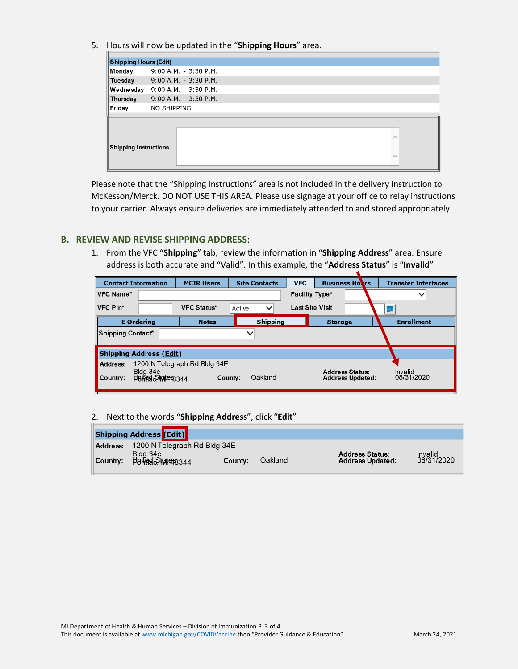5. Hours will now be updated in the "**Shipping Hours**" area.

|                              | <b>Shipping Hours (Edit)</b>    |  |  |  |  |  |  |  |
|------------------------------|---------------------------------|--|--|--|--|--|--|--|
| Monday                       | 9:00 A.M. - 3:30 P.M.           |  |  |  |  |  |  |  |
| Tuesday                      | $9:00$ A.M. - 3:30 P.M.         |  |  |  |  |  |  |  |
|                              | Wednesday 9:00 A.M. - 3:30 P.M. |  |  |  |  |  |  |  |
| Thursday                     | $9:00$ A.M. - 3:30 P.M.         |  |  |  |  |  |  |  |
| Friday                       | NO SHIPPING                     |  |  |  |  |  |  |  |
|                              |                                 |  |  |  |  |  |  |  |
| <b>Shipping Instructions</b> |                                 |  |  |  |  |  |  |  |

Please note that the "Shipping Instructions" area is not included in the delivery instruction to McKesson/Merck. DO NOT USE THIS AREA. Please use signage at your office to relay instructions to your carrier. Always ensure deliveries are immediately attended to and stored appropriately.

## **B. REVIEW AND REVISE SHIPPING ADDRESS**:

1. From the VFC "**Shipping**" tab, review the information in "**Shipping Address**" area. Ensure address is both accurate and "Valid". In this example, the "**Address Status**" is "**Invalid**"

|                                   | <b>Contact Information</b>          | <b>MCIR Users</b>            |                 | <b>Site Contacts</b> | <b>VFC</b> |                        | <b>Business Hours</b>                             |                   |  |  | <b>Transfer Interfaces</b> |
|-----------------------------------|-------------------------------------|------------------------------|-----------------|----------------------|------------|------------------------|---------------------------------------------------|-------------------|--|--|----------------------------|
| ∣VFC Name*                        |                                     |                              |                 |                      |            | Facility Type*         |                                                   |                   |  |  | $\checkmark$               |
| $IVFC Pin*$                       |                                     | <b>VFC Status*</b>           | Active          | $\checkmark$         |            | <b>Last Site Visit</b> |                                                   |                   |  |  |                            |
| <b>E</b> Ordering<br><b>Notes</b> |                                     |                              | <b>Shipping</b> |                      |            | <b>Storage</b>         |                                                   | <b>Enrollment</b> |  |  |                            |
| Shipping Contact*<br>$\checkmark$ |                                     |                              |                 |                      |            |                        |                                                   |                   |  |  |                            |
|                                   | <b>Shipping Address (Edit)</b>      |                              |                 |                      |            |                        |                                                   |                   |  |  |                            |
| Address:<br>Country:              | Bldg 34e<br><b>PBREE STRIPEB344</b> | 1200 N Telegraph Rd Bldg 34E | County:         | Oakland              |            |                        | <b>Address Status:</b><br><b>Address Updated:</b> |                   |  |  | Invalid<br>08/31/2020      |

## 2. Next to the words "**Shipping Address**", click "**Edit**"

|                      | <b>Shipping Address (Edit)</b> |         |         |                                                   |                       |
|----------------------|--------------------------------|---------|---------|---------------------------------------------------|-----------------------|
| Address:             | 1200 N Telegraph Rd Bldg 34E   |         |         |                                                   |                       |
| $\parallel$ Country: | Bldg 34e<br>Putade Maters344   | County: | Oakland | <b>Address Status:</b><br><b>Address Updated:</b> | Invalid<br>08/31/2020 |